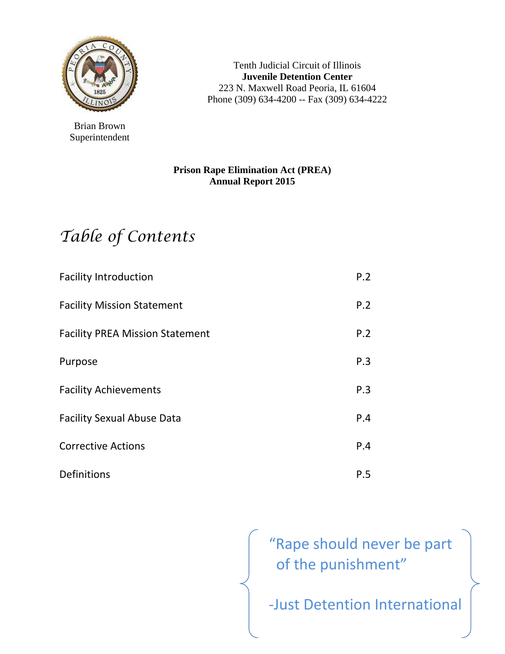

Brian Brown Superintendent

Tenth Judicial Circuit of Illinois **Juvenile Detention Center**  223 N. Maxwell Road Peoria, IL 61604 Phone (309) 634-4200 -- Fax (309) 634-4222

#### **Prison Rape Elimination Act (PREA) Annual Report 2015**

# *Table of Contents*

| <b>Facility Introduction</b>           | P.2 |
|----------------------------------------|-----|
| <b>Facility Mission Statement</b>      | P.2 |
| <b>Facility PREA Mission Statement</b> | P.2 |
| Purpose                                | P.3 |
| <b>Facility Achievements</b>           | P.3 |
| <b>Facility Sexual Abuse Data</b>      | P.4 |
| <b>Corrective Actions</b>              | P.4 |
| Definitions                            | P.5 |

"Rape should never be part of the punishment"

‐Just Detention International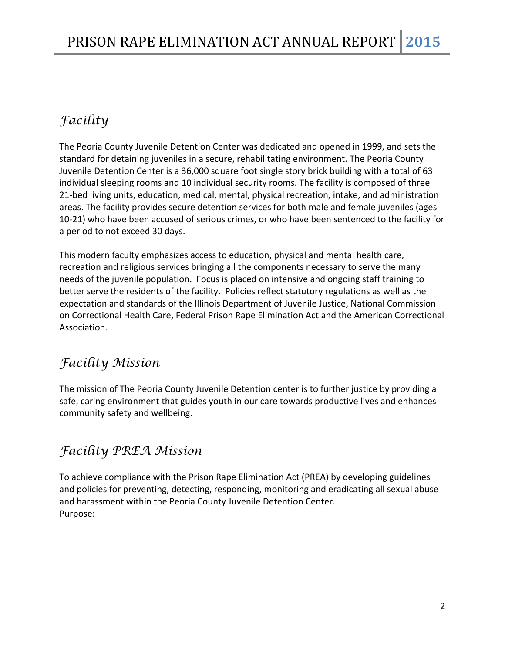### *Facility*

The Peoria County Juvenile Detention Center was dedicated and opened in 1999, and sets the standard for detaining juveniles in a secure, rehabilitating environment. The Peoria County Juvenile Detention Center is a 36,000 square foot single story brick building with a total of 63 individual sleeping rooms and 10 individual security rooms. The facility is composed of three 21-bed living units, education, medical, mental, physical recreation, intake, and administration areas. The facility provides secure detention services for both male and female juveniles (ages 10‐21) who have been accused of serious crimes, or who have been sentenced to the facility for a period to not exceed 30 days.

This modern faculty emphasizes access to education, physical and mental health care, recreation and religious services bringing all the components necessary to serve the many needs of the juvenile population. Focus is placed on intensive and ongoing staff training to better serve the residents of the facility. Policies reflect statutory regulations as well as the expectation and standards of the Illinois Department of Juvenile Justice, National Commission on Correctional Health Care, Federal Prison Rape Elimination Act and the American Correctional Association.

### *Facility Mission*

The mission of The Peoria County Juvenile Detention center is to further justice by providing a safe, caring environment that guides youth in our care towards productive lives and enhances community safety and wellbeing.

### *Facility PREA Mission*

To achieve compliance with the Prison Rape Elimination Act (PREA) by developing guidelines and policies for preventing, detecting, responding, monitoring and eradicating all sexual abuse and harassment within the Peoria County Juvenile Detention Center. Purpose: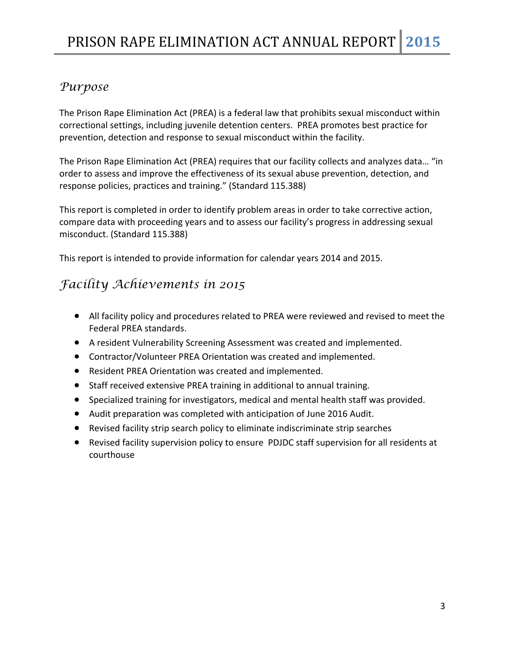#### *Purpose*

The Prison Rape Elimination Act (PREA) is a federal law that prohibits sexual misconduct within correctional settings, including juvenile detention centers. PREA promotes best practice for prevention, detection and response to sexual misconduct within the facility.

The Prison Rape Elimination Act (PREA) requires that our facility collects and analyzes data… "in order to assess and improve the effectiveness of its sexual abuse prevention, detection, and response policies, practices and training." (Standard 115.388)

This report is completed in order to identify problem areas in order to take corrective action, compare data with proceeding years and to assess our facility's progress in addressing sexual misconduct. (Standard 115.388)

This report is intended to provide information for calendar years 2014 and 2015.

### *Facility Achievements in 2015*

- All facility policy and procedures related to PREA were reviewed and revised to meet the Federal PREA standards.
- A resident Vulnerability Screening Assessment was created and implemented.
- Contractor/Volunteer PREA Orientation was created and implemented.
- Resident PREA Orientation was created and implemented.
- Staff received extensive PREA training in additional to annual training.
- Specialized training for investigators, medical and mental health staff was provided.
- Audit preparation was completed with anticipation of June 2016 Audit.
- Revised facility strip search policy to eliminate indiscriminate strip searches
- Revised facility supervision policy to ensure PDJDC staff supervision for all residents at courthouse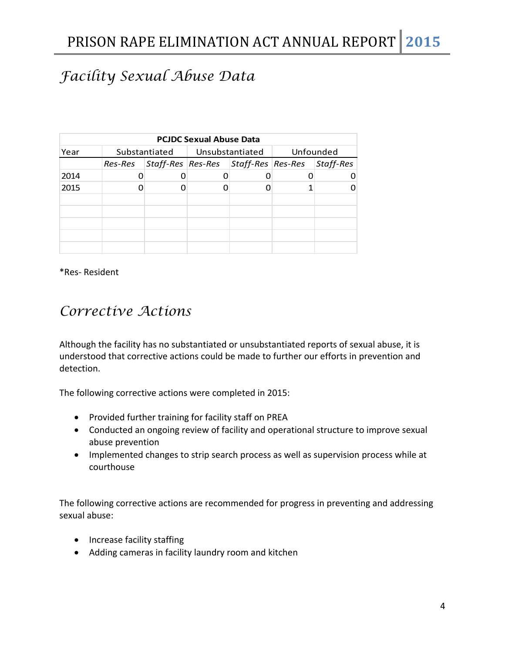## *Facility Sexual Abuse Data*

| <b>PCJDC Sexual Abuse Data</b> |  |                                                       |                                 |  |           |  |  |  |
|--------------------------------|--|-------------------------------------------------------|---------------------------------|--|-----------|--|--|--|
| Year                           |  |                                                       | Substantiated   Unsubstantiated |  | Unfounded |  |  |  |
|                                |  | Res-Res Staff-Res Res-Res Staff-Res Res-Res Staff-Res |                                 |  |           |  |  |  |
| 2014                           |  |                                                       |                                 |  |           |  |  |  |
| 2015                           |  |                                                       |                                 |  |           |  |  |  |
|                                |  |                                                       |                                 |  |           |  |  |  |
|                                |  |                                                       |                                 |  |           |  |  |  |
|                                |  |                                                       |                                 |  |           |  |  |  |
|                                |  |                                                       |                                 |  |           |  |  |  |
|                                |  |                                                       |                                 |  |           |  |  |  |

\*Res‐ Resident

### *Corrective Actions*

Although the facility has no substantiated or unsubstantiated reports of sexual abuse, it is understood that corrective actions could be made to further our efforts in prevention and detection.

The following corrective actions were completed in 2015:

- Provided further training for facility staff on PREA
- Conducted an ongoing review of facility and operational structure to improve sexual abuse prevention
- Implemented changes to strip search process as well as supervision process while at courthouse

The following corrective actions are recommended for progress in preventing and addressing sexual abuse:

- Increase facility staffing
- Adding cameras in facility laundry room and kitchen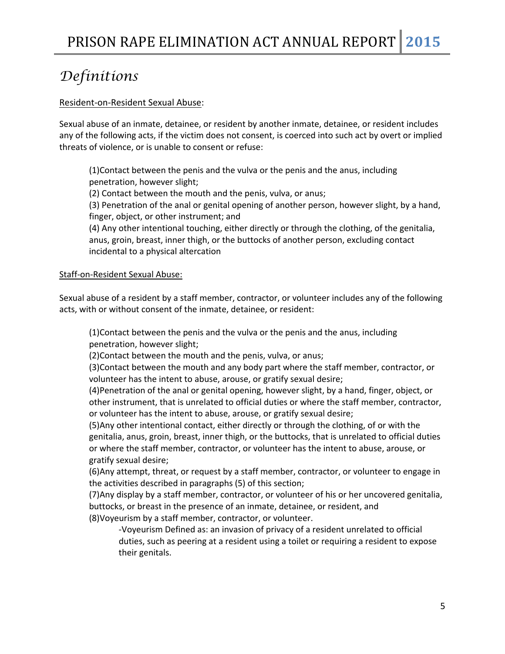### *Definitions*

#### Resident‐on‐Resident Sexual Abuse:

Sexual abuse of an inmate, detainee, or resident by another inmate, detainee, or resident includes any of the following acts, if the victim does not consent, is coerced into such act by overt or implied threats of violence, or is unable to consent or refuse:

(1)Contact between the penis and the vulva or the penis and the anus, including penetration, however slight;

(2) Contact between the mouth and the penis, vulva, or anus;

(3) Penetration of the anal or genital opening of another person, however slight, by a hand, finger, object, or other instrument; and

(4) Any other intentional touching, either directly or through the clothing, of the genitalia, anus, groin, breast, inner thigh, or the buttocks of another person, excluding contact incidental to a physical altercation

#### Staff-on-Resident Sexual Abuse:

Sexual abuse of a resident by a staff member, contractor, or volunteer includes any of the following acts, with or without consent of the inmate, detainee, or resident:

(1)Contact between the penis and the vulva or the penis and the anus, including penetration, however slight;

(2)Contact between the mouth and the penis, vulva, or anus;

(3)Contact between the mouth and any body part where the staff member, contractor, or volunteer has the intent to abuse, arouse, or gratify sexual desire;

(4)Penetration of the anal or genital opening, however slight, by a hand, finger, object, or other instrument, that is unrelated to official duties or where the staff member, contractor, or volunteer has the intent to abuse, arouse, or gratify sexual desire;

(5)Any other intentional contact, either directly or through the clothing, of or with the genitalia, anus, groin, breast, inner thigh, or the buttocks, that is unrelated to official duties or where the staff member, contractor, or volunteer has the intent to abuse, arouse, or gratify sexual desire;

(6)Any attempt, threat, or request by a staff member, contractor, or volunteer to engage in the activities described in paragraphs (5) of this section;

(7)Any display by a staff member, contractor, or volunteer of his or her uncovered genitalia, buttocks, or breast in the presence of an inmate, detainee, or resident, and (8)Voyeurism by a staff member, contractor, or volunteer.

‐Voyeurism Defined as: an invasion of privacy of a resident unrelated to official duties, such as peering at a resident using a toilet or requiring a resident to expose their genitals.